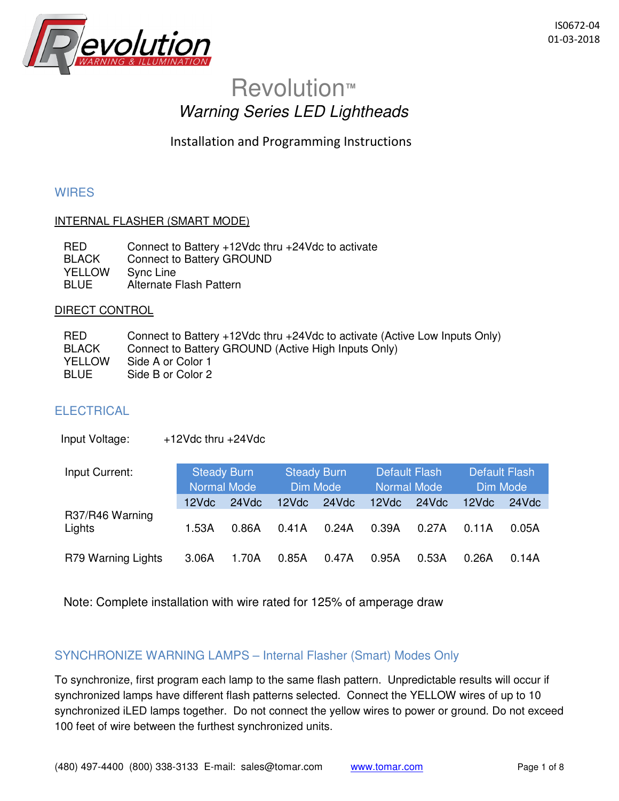

# Revolution**™** Warning Series LED Lightheads

Installation and Programming Instructions

# **WIRES**

# INTERNAL FLASHER (SMART MODE)

| <b>RED</b>    | Connect to Battery $+12$ Vdc thru $+24$ Vdc to activate |
|---------------|---------------------------------------------------------|
| BLACK         | Connect to Battery GROUND                               |
| <b>YELLOW</b> | Sync Line                                               |
| <b>BLUE</b>   | Alternate Flash Pattern                                 |

#### DIRECT CONTROL

| <b>RED</b>   | Connect to Battery +12Vdc thru +24Vdc to activate (Active Low Inputs Only) |
|--------------|----------------------------------------------------------------------------|
| <b>BLACK</b> | Connect to Battery GROUND (Active High Inputs Only)                        |
| YELLOW       | Side A or Color 1                                                          |
| BLUE         | Side B or Color 2                                                          |

# **ELECTRICAL**

Input Voltage: +12Vdc thru +24Vdc

| Input Current:     | <b>Steady Burn</b><br>Normal Mode |       | <b>Steady Burn</b><br>Dim Mode |       | <b>Default Flash</b><br>Normal Mode |       | <b>Default Flash</b><br>Dim Mode |       |
|--------------------|-----------------------------------|-------|--------------------------------|-------|-------------------------------------|-------|----------------------------------|-------|
|                    | 12Vdc                             | 24Vdc | 12Vdc                          | 24Vdc | 12Vdc                               | 24Vdc | 12Vdc                            | 24Vdc |
| R37/R46 Warning    |                                   |       |                                |       |                                     |       |                                  |       |
| Lights             | 1.53A                             | 0.86A | 0.41A                          | 0.24A | 0.39A                               | 0.27A | 0.11A                            | 0.05A |
| R79 Warning Lights | 3.06A                             | 1.70A | 0.85A                          | 0.47A | 0.95A                               | 0.53A | 0.26A                            | 0.14A |

Note: Complete installation with wire rated for 125% of amperage draw

# SYNCHRONIZE WARNING LAMPS – Internal Flasher (Smart) Modes Only

To synchronize, first program each lamp to the same flash pattern. Unpredictable results will occur if synchronized lamps have different flash patterns selected. Connect the YELLOW wires of up to 10 synchronized iLED lamps together. Do not connect the yellow wires to power or ground. Do not exceed 100 feet of wire between the furthest synchronized units.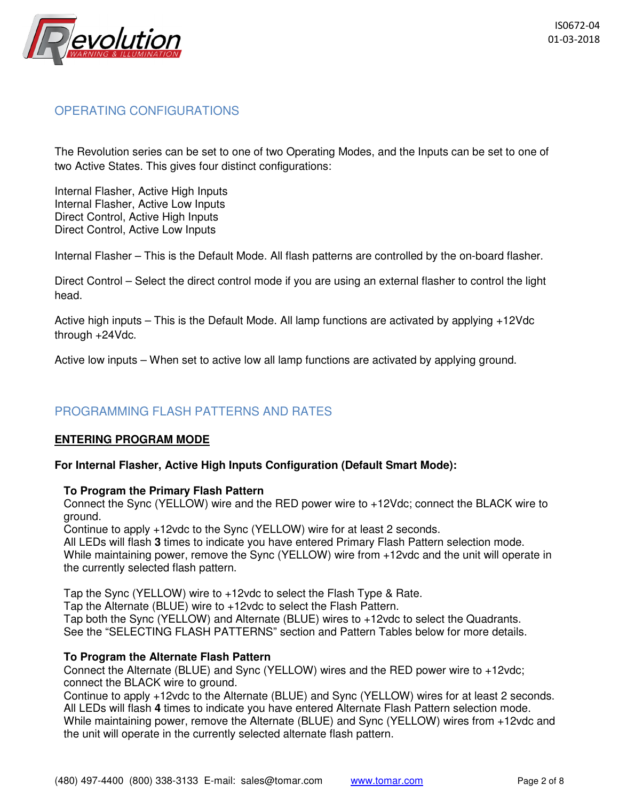

# OPERATING CONFIGURATIONS

The Revolution series can be set to one of two Operating Modes, and the Inputs can be set to one of two Active States. This gives four distinct configurations:

Internal Flasher, Active High Inputs Internal Flasher, Active Low Inputs Direct Control, Active High Inputs Direct Control, Active Low Inputs

Internal Flasher – This is the Default Mode. All flash patterns are controlled by the on-board flasher.

Direct Control – Select the direct control mode if you are using an external flasher to control the light head.

Active high inputs – This is the Default Mode. All lamp functions are activated by applying +12Vdc through +24Vdc.

Active low inputs – When set to active low all lamp functions are activated by applying ground.

# PROGRAMMING FLASH PATTERNS AND RATES

#### **ENTERING PROGRAM MODE**

#### **For Internal Flasher, Active High Inputs Configuration (Default Smart Mode):**

#### **To Program the Primary Flash Pattern**

Connect the Sync (YELLOW) wire and the RED power wire to +12Vdc; connect the BLACK wire to ground.

Continue to apply +12vdc to the Sync (YELLOW) wire for at least 2 seconds.

All LEDs will flash **3** times to indicate you have entered Primary Flash Pattern selection mode. While maintaining power, remove the Sync (YELLOW) wire from +12vdc and the unit will operate in the currently selected flash pattern.

Tap the Sync (YELLOW) wire to +12vdc to select the Flash Type & Rate.

Tap the Alternate (BLUE) wire to +12vdc to select the Flash Pattern.

Tap both the Sync (YELLOW) and Alternate (BLUE) wires to +12vdc to select the Quadrants. See the "SELECTING FLASH PATTERNS" section and Pattern Tables below for more details.

#### **To Program the Alternate Flash Pattern**

Connect the Alternate (BLUE) and Sync (YELLOW) wires and the RED power wire to +12vdc; connect the BLACK wire to ground.

Continue to apply +12vdc to the Alternate (BLUE) and Sync (YELLOW) wires for at least 2 seconds. All LEDs will flash **4** times to indicate you have entered Alternate Flash Pattern selection mode. While maintaining power, remove the Alternate (BLUE) and Sync (YELLOW) wires from +12vdc and the unit will operate in the currently selected alternate flash pattern.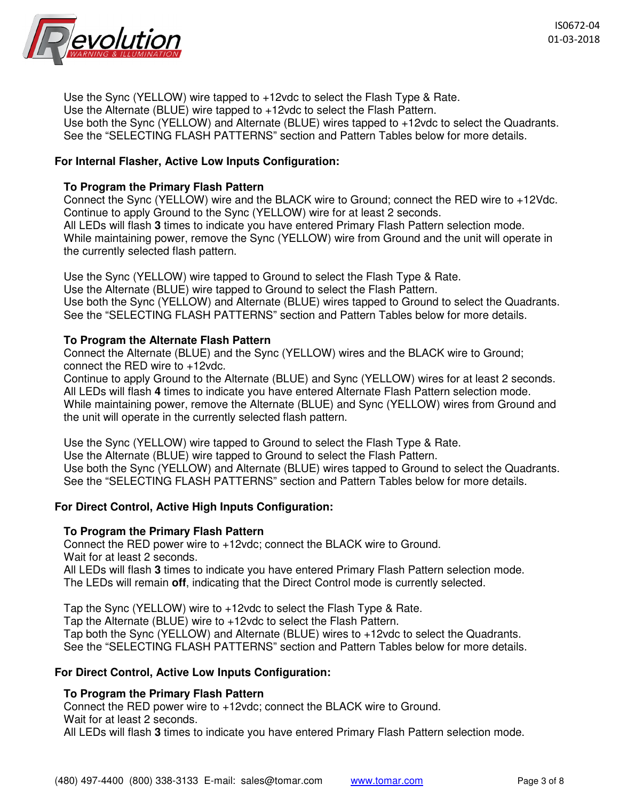

Use the Sync (YELLOW) wire tapped to +12vdc to select the Flash Type & Rate. Use the Alternate (BLUE) wire tapped to +12vdc to select the Flash Pattern. Use both the Sync (YELLOW) and Alternate (BLUE) wires tapped to +12vdc to select the Quadrants. See the "SELECTING FLASH PATTERNS" section and Pattern Tables below for more details.

## **For Internal Flasher, Active Low Inputs Configuration:**

#### **To Program the Primary Flash Pattern**

Connect the Sync (YELLOW) wire and the BLACK wire to Ground; connect the RED wire to +12Vdc. Continue to apply Ground to the Sync (YELLOW) wire for at least 2 seconds. All LEDs will flash **3** times to indicate you have entered Primary Flash Pattern selection mode. While maintaining power, remove the Sync (YELLOW) wire from Ground and the unit will operate in the currently selected flash pattern.

Use the Sync (YELLOW) wire tapped to Ground to select the Flash Type & Rate. Use the Alternate (BLUE) wire tapped to Ground to select the Flash Pattern. Use both the Sync (YELLOW) and Alternate (BLUE) wires tapped to Ground to select the Quadrants. See the "SELECTING FLASH PATTERNS" section and Pattern Tables below for more details.

#### **To Program the Alternate Flash Pattern**

Connect the Alternate (BLUE) and the Sync (YELLOW) wires and the BLACK wire to Ground; connect the RED wire to +12vdc.

Continue to apply Ground to the Alternate (BLUE) and Sync (YELLOW) wires for at least 2 seconds. All LEDs will flash **4** times to indicate you have entered Alternate Flash Pattern selection mode. While maintaining power, remove the Alternate (BLUE) and Sync (YELLOW) wires from Ground and the unit will operate in the currently selected flash pattern.

Use the Sync (YELLOW) wire tapped to Ground to select the Flash Type & Rate. Use the Alternate (BLUE) wire tapped to Ground to select the Flash Pattern. Use both the Sync (YELLOW) and Alternate (BLUE) wires tapped to Ground to select the Quadrants. See the "SELECTING FLASH PATTERNS" section and Pattern Tables below for more details.

#### **For Direct Control, Active High Inputs Configuration:**

#### **To Program the Primary Flash Pattern**

Connect the RED power wire to +12vdc; connect the BLACK wire to Ground. Wait for at least 2 seconds.

All LEDs will flash **3** times to indicate you have entered Primary Flash Pattern selection mode. The LEDs will remain **off**, indicating that the Direct Control mode is currently selected.

Tap the Sync (YELLOW) wire to +12vdc to select the Flash Type & Rate.

Tap the Alternate (BLUE) wire to +12vdc to select the Flash Pattern.

Tap both the Sync (YELLOW) and Alternate (BLUE) wires to +12vdc to select the Quadrants. See the "SELECTING FLASH PATTERNS" section and Pattern Tables below for more details.

#### **For Direct Control, Active Low Inputs Configuration:**

#### **To Program the Primary Flash Pattern**

Connect the RED power wire to +12vdc; connect the BLACK wire to Ground. Wait for at least 2 seconds.

All LEDs will flash **3** times to indicate you have entered Primary Flash Pattern selection mode.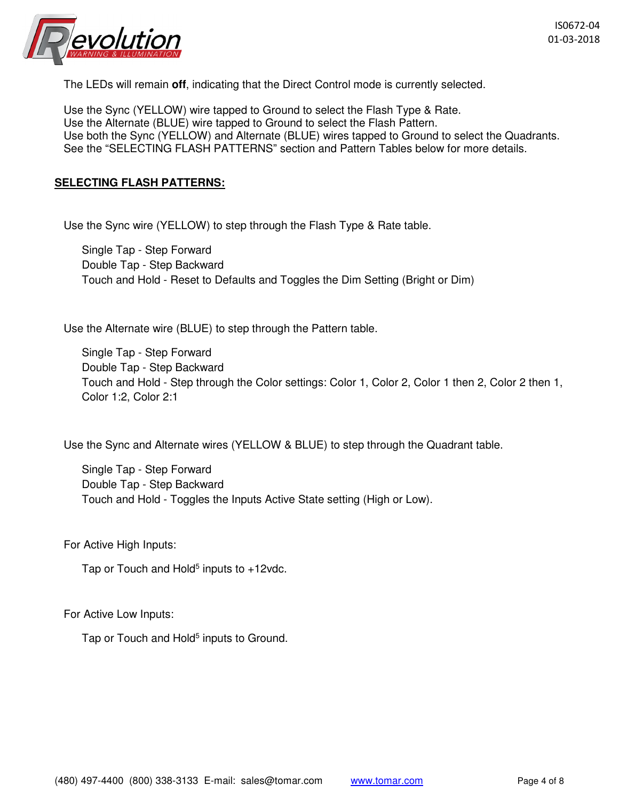

The LEDs will remain **off**, indicating that the Direct Control mode is currently selected.

Use the Sync (YELLOW) wire tapped to Ground to select the Flash Type & Rate. Use the Alternate (BLUE) wire tapped to Ground to select the Flash Pattern. Use both the Sync (YELLOW) and Alternate (BLUE) wires tapped to Ground to select the Quadrants. See the "SELECTING FLASH PATTERNS" section and Pattern Tables below for more details.

#### **SELECTING FLASH PATTERNS:**

Use the Sync wire (YELLOW) to step through the Flash Type & Rate table.

Single Tap - Step Forward Double Tap - Step Backward Touch and Hold - Reset to Defaults and Toggles the Dim Setting (Bright or Dim)

Use the Alternate wire (BLUE) to step through the Pattern table.

Single Tap - Step Forward Double Tap - Step Backward Touch and Hold - Step through the Color settings: Color 1, Color 2, Color 1 then 2, Color 2 then 1, Color 1:2, Color 2:1

Use the Sync and Alternate wires (YELLOW & BLUE) to step through the Quadrant table.

Single Tap - Step Forward Double Tap - Step Backward Touch and Hold - Toggles the Inputs Active State setting (High or Low).

For Active High Inputs:

Tap or Touch and Hold<sup>5</sup> inputs to +12vdc.

For Active Low Inputs:

Tap or Touch and Hold<sup>5</sup> inputs to Ground.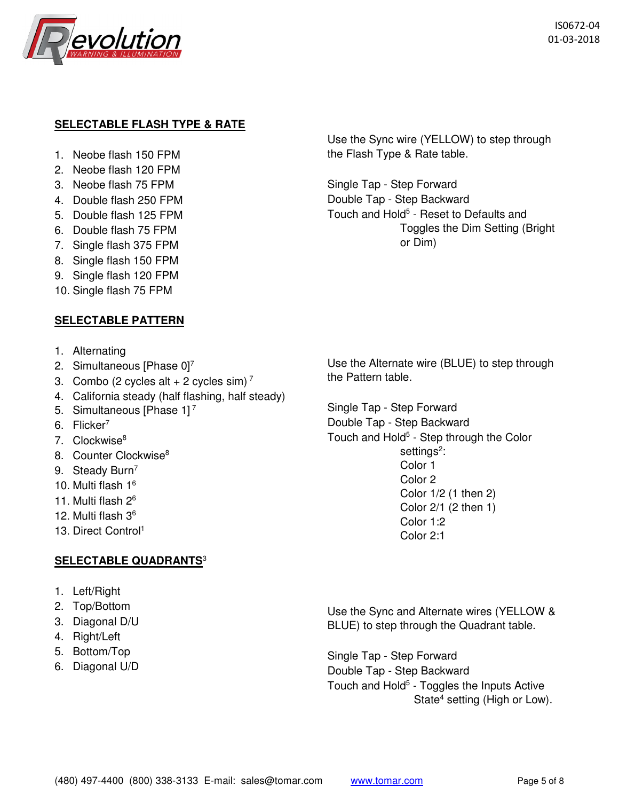

# **SELECTABLE FLASH TYPE & RATE**

- 1. Neobe flash 150 FPM
- 2. Neobe flash 120 FPM
- 3. Neobe flash 75 FPM
- 4. Double flash 250 FPM
- 5. Double flash 125 FPM
- 6. Double flash 75 FPM
- 7. Single flash 375 FPM
- 8. Single flash 150 FPM
- 9. Single flash 120 FPM
- 10. Single flash 75 FPM

## **SELECTABLE PATTERN**

- 1. Alternating
- 2. Simultaneous [Phase 0]<sup>7</sup>
- 3. Combo (2 cycles alt + 2 cycles sim)<sup>7</sup>
- 4. California steady (half flashing, half steady)
- 5. Simultaneous [Phase 1]<sup>7</sup>
- 6. Flicker<sup>7</sup>
- 7. Clockwise<sup>8</sup>
- 8. Counter Clockwise<sup>8</sup>
- 9. Steady Burn<sup>7</sup>
- 10. Multi flash 1<sup>6</sup>
- 11. Multi flash 2<sup>6</sup>
- 12. Multi flash 3<sup>6</sup>
- 13. Direct Control<sup>1</sup>

# **SELECTABLE QUADRANTS**<sup>3</sup>

- 1. Left/Right
- 2. Top/Bottom
- 3. Diagonal D/U
- 4. Right/Left
- 5. Bottom/Top
- 6. Diagonal U/D

Use the Sync wire (YELLOW) to step through the Flash Type & Rate table.

Single Tap - Step Forward Double Tap - Step Backward Touch and Hold<sup>5</sup> - Reset to Defaults and Toggles the Dim Setting (Bright or Dim)

Use the Alternate wire (BLUE) to step through the Pattern table.

Single Tap - Step Forward Double Tap - Step Backward Touch and Hold<sup>5</sup> - Step through the Color settings<sup>2</sup>: Color 1 Color 2 Color 1/2 (1 then 2) Color 2/1 (2 then 1) Color 1:2 Color 2:1

Use the Sync and Alternate wires (YELLOW & BLUE) to step through the Quadrant table.

Single Tap - Step Forward Double Tap - Step Backward Touch and Hold<sup>5</sup> - Toggles the Inputs Active State<sup>4</sup> setting (High or Low).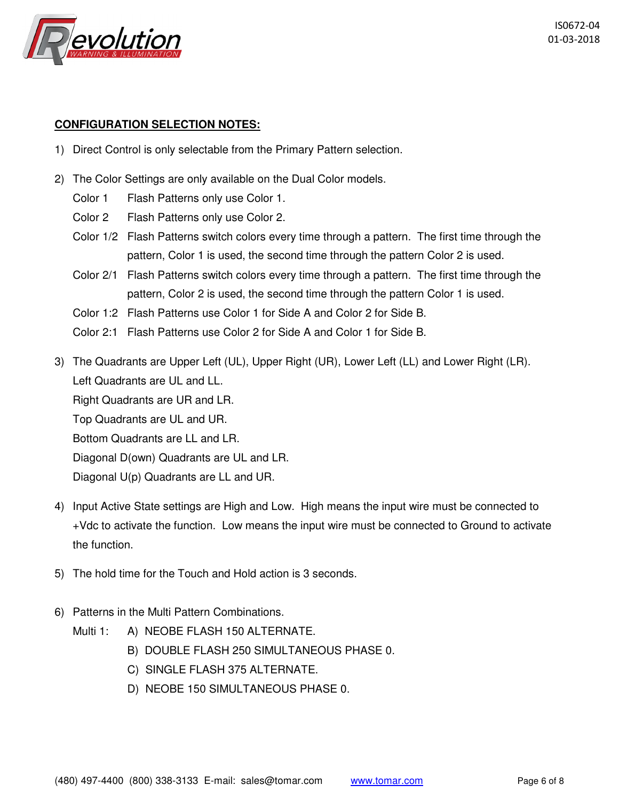

#### **CONFIGURATION SELECTION NOTES:**

- 1) Direct Control is only selectable from the Primary Pattern selection.
- 2) The Color Settings are only available on the Dual Color models.

Color 1 Flash Patterns only use Color 1.

Color 2 Flash Patterns only use Color 2.

- Color 1/2 Flash Patterns switch colors every time through a pattern. The first time through the pattern, Color 1 is used, the second time through the pattern Color 2 is used.
- Color 2/1 Flash Patterns switch colors every time through a pattern. The first time through the pattern, Color 2 is used, the second time through the pattern Color 1 is used.
- Color 1:2 Flash Patterns use Color 1 for Side A and Color 2 for Side B.
- Color 2:1 Flash Patterns use Color 2 for Side A and Color 1 for Side B.
- 3) The Quadrants are Upper Left (UL), Upper Right (UR), Lower Left (LL) and Lower Right (LR). Left Quadrants are UL and LL.

Right Quadrants are UR and LR.

Top Quadrants are UL and UR.

Bottom Quadrants are LL and LR.

Diagonal D(own) Quadrants are UL and LR.

Diagonal U(p) Quadrants are LL and UR.

- 4) Input Active State settings are High and Low. High means the input wire must be connected to +Vdc to activate the function. Low means the input wire must be connected to Ground to activate the function.
- 5) The hold time for the Touch and Hold action is 3 seconds.
- 6) Patterns in the Multi Pattern Combinations.
	- Multi 1: A) NEOBE FLASH 150 ALTERNATE.
		- B) DOUBLE FLASH 250 SIMULTANEOUS PHASE 0.
		- C) SINGLE FLASH 375 ALTERNATE.
		- D) NEOBE 150 SIMULTANEOUS PHASE 0.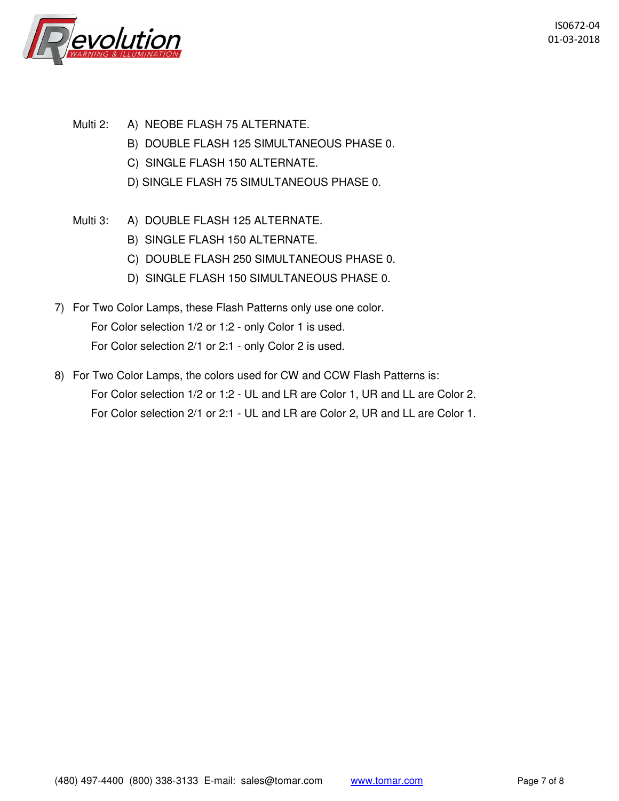

- Multi 2: A) NEOBE FLASH 75 ALTERNATE.
	- B) DOUBLE FLASH 125 SIMULTANEOUS PHASE 0.
	- C) SINGLE FLASH 150 ALTERNATE.
	- D) SINGLE FLASH 75 SIMULTANEOUS PHASE 0.
- Multi 3: A) DOUBLE FLASH 125 ALTERNATE.
	- B) SINGLE FLASH 150 ALTERNATE.
	- C) DOUBLE FLASH 250 SIMULTANEOUS PHASE 0.
	- D) SINGLE FLASH 150 SIMULTANEOUS PHASE 0.
- 7) For Two Color Lamps, these Flash Patterns only use one color. For Color selection 1/2 or 1:2 - only Color 1 is used. For Color selection 2/1 or 2:1 - only Color 2 is used.
- 8) For Two Color Lamps, the colors used for CW and CCW Flash Patterns is: For Color selection 1/2 or 1:2 - UL and LR are Color 1, UR and LL are Color 2. For Color selection 2/1 or 2:1 - UL and LR are Color 2, UR and LL are Color 1.